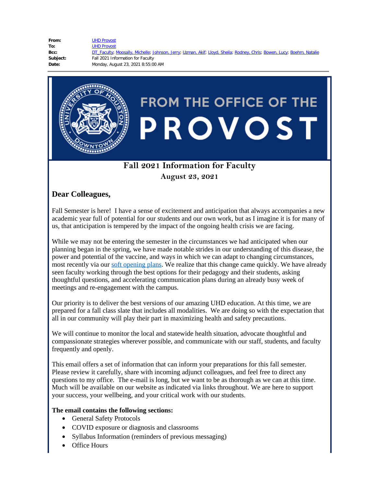| From:    | <b>UHD Provost</b>                                                                                                     |
|----------|------------------------------------------------------------------------------------------------------------------------|
| To:      | <b>UHD Provost</b>                                                                                                     |
| Bcc:     | DT Faculty, Moosally, Michelle; Johnson, Jerry; Uzman, Akif; Lloyd, Sheila; Rodney, Chris; Bowen, Lucy; Boehm, Natalie |
| Subject: | Fall 2021 Information for Faculty                                                                                      |
| Date:    | Monday, August 23, 2021 8:55:00 AM                                                                                     |
|          |                                                                                                                        |



# **Fall 2021 Information for Faculty**

**August 23, 2021**

## **Dear Colleagues,**

Fall Semester is here! I have a sense of excitement and anticipation that always accompanies a new academic year full of potential for our students and our own work, but as I imagine it is for many of us, that anticipation is tempered by the impact of the ongoing health crisis we are facing.

While we may not be entering the semester in the circumstances we had anticipated when our planning began in the spring, we have made notable strides in our understanding of this disease, the power and potential of the vaccine, and ways in which we can adapt to changing circumstances, most recently via our soft [opening](https://www.uhd.edu/provost/Pages/UHD-Provost-Office-Communications.aspx) plans. We realize that this change came quickly. We have already seen faculty working through the best options for their pedagogy and their students, asking thoughtful questions, and accelerating communication plans during an already busy week of meetings and re-engagement with the campus.

Our priority is to deliver the best versions of our amazing UHD education. At this time, we are prepared for a fall class slate that includes all modalities. We are doing so with the expectation that all in our community will play their part in maximizing health and safety precautions.

We will continue to monitor the local and statewide health situation, advocate thoughtful and compassionate strategies wherever possible, and communicate with our staff, students, and faculty frequently and openly.

This email offers a set of information that can inform your preparations for this fall semester. Please review it carefully, share with incoming adjunct colleagues, and feel free to direct any questions to my office. The e-mail is long, but we want to be as thorough as we can at this time. Much will be available on our website as indicated via links throughout. We are here to support your success, your wellbeing, and your critical work with our students.

## **The email contains the following sections:**

- · General Safety Protocols
- · COVID exposure or diagnosis and classrooms
- · Syllabus Information (reminders of previous messaging)
- Office Hours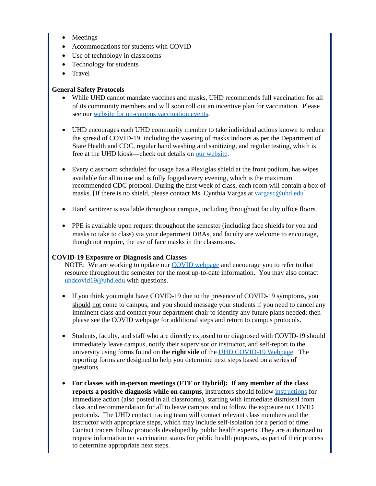- **Meetings**
- Accommodations for students with COVID
- Use of technology in classrooms
- Technology for students
- · Travel

## **General Safety Protocols**

- · While UHD cannot mandate vaccines and masks, UHD recommends full vaccination for all of its community members and will soon roll out an incentive plan for vaccination. Please see our website for on-campus [vaccination](https://www.uhd.edu/administration/emergency-management/coronavirus/Pages/vaccine-information.aspx) events.
- · UHD encourages each UHD community member to take individual actions known to reduce the spread of COVID-19, including the wearing of masks indoors as per the Department of State Health and CDC, regular hand washing and sanitizing, and regular testing, which is free at the UHD kiosk—check out details on our [website](https://www.uhd.edu/administration/emergency-management/coronavirus/Pages/vaccine-information.aspx).
- · Every classroom scheduled for usage has a Plexiglas shield at the front podium, has wipes available for all to use and is fully fogged every evening, which is the maximum recommended CDC protocol. During the first week of class, each room will contain a box of masks. [If there is no shield, please contact Ms. Cynthia Vargas at [vargasc@uhd.edu](mailto:vargasc@uhd.edu)]
- · Hand sanitizer is available throughout campus, including throughout faculty office floors.
- · PPE is available upon request throughout the semester (including face shields for you and masks to take to class) via your department DBAs, and faculty are welcome to encourage, though not require, the use of face masks in the classrooms.

## **COVID-19 Exposure or Diagnosis and Classes**

NOTE: We are working to update our COVID [webpage](https://www.uhd.edu/administration/emergency-management/coronavirus/Pages/default.aspx) and encourage you to refer to that resource throughout the semester for the most up-to-date information. You may also contact [uhdcovid19@uhd.edu](mailto:Uhdcovid19@uhd.edu) with questions.

- · If you think you might have COVID-19 due to the presence of COVID-19 symptoms, you should not come to campus, and you should message your students if you need to cancel any imminent class and contact your department chair to identify any future plans needed; then please see the COVID webpage for additional steps and return to campus protocols.
- Students, faculty, and staff who are directly exposed to or diagnosed with COVID-19 should immediately leave campus, notify their supervisor or instructor, and self-report to the university using forms found on the **right side** of the UHD [COVID-19](https://www.uhd.edu/administration/emergency-management/coronavirus/Pages/default.aspx) Webpage. The reporting forms are designed to help you determine next steps based on a series of questions.
- · **For classes with in-person meetings (FTF or Hybrid): If any member of the class reports a positive diagnosis while on campus,** instructors should follow [instructions](https://www.uhd.edu/administration/emergency-management/coronavirus/Pages/on-campus-covid-19-exposure.aspx) for immediate action (also posted in all classrooms), starting with immediate dismissal from class and recommendation for all to leave campus and to follow the exposure to COVID protocols. The UHD contact tracing team will contact relevant class members and the instructor with appropriate steps, which may include self-isolation for a period of time. Contact tracers follow protocols developed by public health experts. They are authorized to request information on vaccination status for public health purposes, as part of their process to determine appropriate next steps.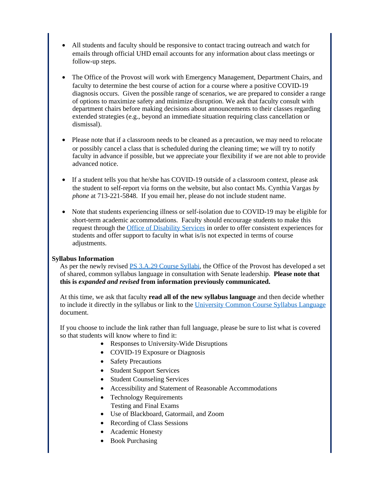- · All students and faculty should be responsive to contact tracing outreach and watch for emails through official UHD email accounts for any information about class meetings or follow-up steps.
- The Office of the Provost will work with Emergency Management, Department Chairs, and faculty to determine the best course of action for a course where a positive COVID-19 diagnosis occurs. Given the possible range of scenarios, we are prepared to consider a range of options to maximize safety and minimize disruption. We ask that faculty consult with department chairs before making decisions about announcements to their classes regarding extended strategies (e.g., beyond an immediate situation requiring class cancellation or dismissal).
- Please note that if a classroom needs to be cleaned as a precaution, we may need to relocate or possibly cancel a class that is scheduled during the cleaning time; we will try to notify faculty in advance if possible, but we appreciate your flexibility if we are not able to provide advanced notice.
- · If a student tells you that he/she has COVID-19 outside of a classroom context, please ask the student to self-report via forms on the website, but also contact Ms. Cynthia Vargas *by phone* at 713-221-5848. If you email her, please do not include student name.
- · Note that students experiencing illness or self-isolation due to COVID-19 may be eligible for short-term academic accommodations. Faculty should encourage students to make this request through the Office of [Disability](https://www.uhd.edu/student-life/disability/Pages/disability-index.aspx) Services in order to offer consistent experiences for students and offer support to faculty in what is/is not expected in terms of course adjustments.

## **Syllabus Information**

As per the newly revised PS 3.A.29 [Course](https://www.uhd.edu/administration/employment-services-operations/resources/Documents/PS03A29.pdf?csf=1&e=V3hBXU) Syllabi, the Office of the Provost has developed a set of shared, common syllabus language in consultation with Senate leadership. **Please note that this is** *expanded and revised* **from information previously communicated.**

At this time, we ask that faculty **read all of the new syllabus language** and then decide whether to include it directly in the syllabus or link to the [University](https://www.uhd.edu/academics/Documents/UHD%20Common%20Course%20Syllabus%20Policies_August%202021_Final.pdf) Common Course Syllabus Language document.

If you choose to include the link rather than full language, please be sure to list what is covered so that students will know where to find it:

- Responses to University-Wide Disruptions
- COVID-19 Exposure or Diagnosis
- Safety Precautions
- Student Support Services
- Student Counseling Services
- · Accessibility and Statement of Reasonable Accommodations
- Technology Requirements
	- Testing and Final Exams
- · Use of Blackboard, Gatormail, and Zoom
- Recording of Class Sessions
- Academic Honesty
- Book Purchasing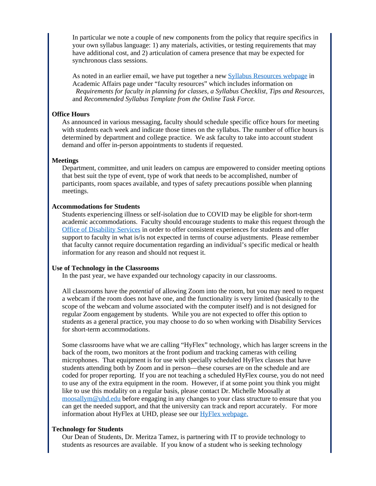In particular we note a couple of new components from the policy that require specifics in your own syllabus language: 1) any materials, activities, or testing requirements that may have additional cost, and 2) articulation of camera presence that may be expected for synchronous class sessions.

As noted in an earlier email, we have put together a new Syllabus [Resources](https://www.uhd.edu/academics/Pages/Syllabus.aspx) webpage in Academic Affairs page under "faculty resources" which includes information on  *Requirements for faculty in planning for classes, a Syllabus Checklist, Tips and Resources,* and *Recommended Syllabus Template from the Online Task Force.*

#### **Office Hours**

As announced in various messaging, faculty should schedule specific office hours for meeting with students each week and indicate those times on the syllabus. The number of office hours is determined by department and college practice. We ask faculty to take into account student demand and offer in-person appointments to students if requested.

#### **Meetings**

Department, committee, and unit leaders on campus are empowered to consider meeting options that best suit the type of event, type of work that needs to be accomplished, number of participants, room spaces available, and types of safety precautions possible when planning meetings.

#### **Accommodations for Students**

Students experiencing illness or self-isolation due to COVID may be eligible for short-term academic accommodations. Faculty should encourage students to make this request through the Office of [Disability](https://www.uhd.edu/student-life/disability/Pages/disability-index.aspx) Services in order to offer consistent experiences for students and offer support to faculty in what is/is not expected in terms of course adjustments. Please remember that faculty cannot require documentation regarding an individual's specific medical or health information for any reason and should not request it.

#### **Use of Technology in the Classrooms**

In the past year, we have expanded our technology capacity in our classrooms.

All classrooms have the *potential* of allowing Zoom into the room, but you may need to request a webcam if the room does not have one, and the functionality is very limited (basically to the scope of the webcam and volume associated with the computer itself) and is not designed for regular Zoom engagement by students. While you are not expected to offer this option to students as a general practice, you may choose to do so when working with Disability Services for short-term accommodations.

Some classrooms have what we are calling "HyFlex" technology, which has larger screens in the back of the room, two monitors at the front podium and tracking cameras with ceiling microphones. That equipment is for use with specially scheduled HyFlex classes that have students attending both by Zoom and in person—these courses are on the schedule and are coded for proper reporting. If you are not teaching a scheduled HyFlex course, you do not need to use any of the extra equipment in the room. However, if at some point you think you might like to use this modality on a regular basis, please contact Dr. Michelle Moosally at [moosallym@uhd.edu](mailto:moosallym@uhd.edu) before engaging in any changes to your class structure to ensure that you can get the needed support, and that the university can track and report accurately. For more information about HyFlex at UHD, please see our HyFlex [webpage](https://www.uhd.edu/academics/Pages/HyFlex.aspx).

#### **Technology for Students**

Our Dean of Students, Dr. Meritza Tamez, is partnering with IT to provide technology to students as resources are available. If you know of a student who is seeking technology